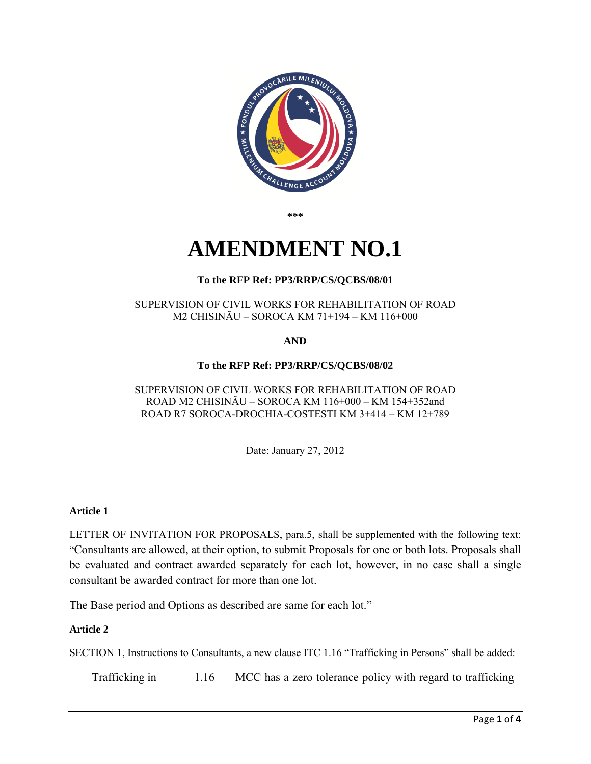<span id="page-0-0"></span>

**\*\*\*** 

# **AMENDMENT NO.1**

# **To the RFP Ref: PP3/RRP/CS/QCBS/08/01**

#### SUPERVISION OF CIVIL WORKS FOR REHABILITATION OF ROAD M2 CHISINĂU – SOROCA KM 71+194 – KM 116+000

**AND** 

# **To the RFP Ref: PP3/RRP/CS/QCBS/08/02**

#### SUPERVISION OF CIVIL WORKS FOR REHABILITATION OF ROAD ROAD M2 CHISINĂU – SOROCA KM 116+000 – KM 154+352and ROAD R7 SOROCA-DROCHIA-COSTESTI KM 3+414 – KM 12+789

Date: January 27, 2012

## **Article 1**

LETTER OF INVITATION FOR PROPOSALS, para.5, shall be supplemented with the following text: "Consultants are allowed, at their option, to submit Proposals for one or both lots. Proposals shall be evaluated and contract awarded separately for each lot, however, in no case shall a single consultant be awarded contract for more than one lot.

The Base period and Options as described are same for each lot."

## **Article 2**

SECTION 1, Instructions to Consultants, a new clause ITC 1.16 "Trafficking in Persons" shall be added:

Trafficking in 1.16 MCC has a zero tolerance policy with regard to trafficking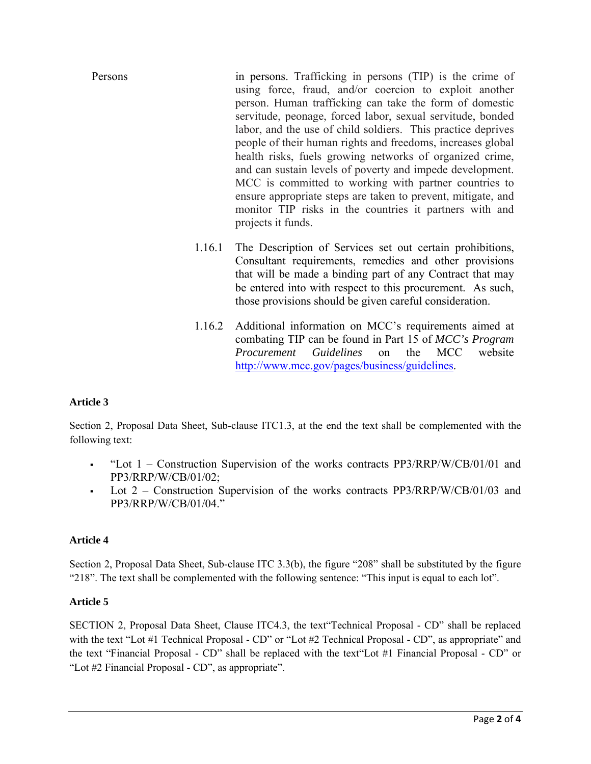- Persons in persons. Trafficking in persons (TIP) is the crime of using force, fraud, and/or coercion to exploit another person. Human trafficking can take the form of domestic servitude, peonage, forced labor, sexual servitude, bonded labor, and the use of child soldiers. This practice deprives people of their human rights and freedoms, increases global health risks, fuels growing networks of organized crime, and can sustain levels of poverty and impede development. MCC is committed to working with partner countries to ensure appropriate steps are taken to prevent, mitigate, and monitor TIP risks in the countries it partners with and projects it funds.
	- 1.16.1 The Description of Services set out certain prohibitions, Consultant requirements, remedies and other provisions that will be made a binding part of any Contract that may be entered into with respect to this procurement. As such, those provisions should be given careful consideration.
	- 1.16.2 Additional information on MCC's requirements aimed at combating TIP can be found in Part 15 of *MCC's Program Procurement Guidelines* on the MCC website [http://www.mcc.gov/pages/business/guidelines.](http://www.mcc.gov/pages/business/guidelines)

# **Article 3**

Section 2, Proposal Data Sheet, Sub-clause ITC1.3, at the end the text shall be complemented with the following text:

- "Lot 1 Construction Supervision of the works contracts PP3/RRP/W/CB/01/01 and PP3/RRP/W/CB/01/02;
- Lot  $2$  Construction Supervision of the works contracts PP3/RRP/W/CB/01/03 and PP3/RRP/W/CB/01/04."

## **Article 4**

Section 2, Proposal Data Sheet, Sub-clause ITC 3.3(b), the figure "208" shall be substituted by the figure "218". The text shall be complemented with the following sentence: "This input is equal to each lot".

## **Article 5**

SECTION 2, Proposal Data Sheet, Clause ITC4.3, the text"Technical Proposal - CD" shall be replaced with the text "Lot #1 Technical Proposal - CD" or "Lot #2 Technical Proposal - CD", as appropriate" and the text "Financial Proposal - CD" shall be replaced with the text"Lot #1 Financial Proposal - CD" or "Lot #2 Financial Proposal - CD", as appropriate".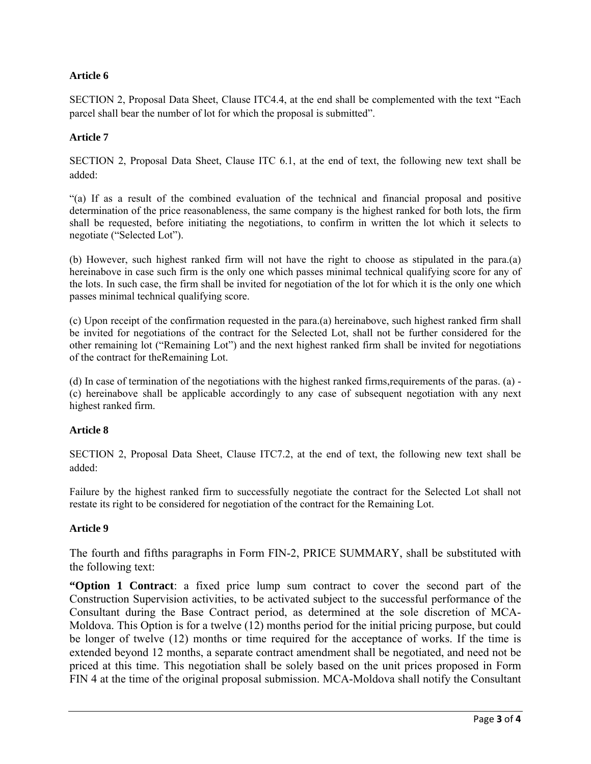## **Article 6**

SECTION 2, Proposal Data Sheet, Clause ITC4.4, at the end shall be complemented with the text "Each parcel shall bear the number of lot for which the proposal is submitted".

## **Article 7**

SECTION 2, Proposal Data Sheet, Clause ITC 6.1, at the end of text, the following new text shall be added:

"(a) If as a result of the combined evaluation of the technical and financial proposal and positive determination of the price reasonableness, the same company is the highest ranked for both lots, the firm shall be requested, before initiating the negotiations, to confirm in written the lot which it selects to negotiate ("Selected Lot").

(b) However, such highest ranked firm will not have the right to choose as stipulated in the para.(a) hereinabove in case such firm is the only one which passes minimal technical qualifying score for any of the lots. In such case, the firm shall be invited for negotiation of the lot for which it is the only one which passes minimal technical qualifying score.

(c) Upon receipt of the confirmation requested in the para.(a) hereinabove, such highest ranked firm shall be invited for negotiations of the contract for the Selected Lot, shall not be further considered for the other remaining lot ("Remaining Lot") and the next highest ranked firm shall be invited for negotiations of the contract for theRemaining Lot.

(d) In case of termination of the negotiations with the highest ranked firms,requirements of the paras. (a) - (c) hereinabove shall be applicable accordingly to any case of subsequent negotiation with any next highest ranked firm.

## **Article 8**

SECTION 2, Proposal Data Sheet, Clause ITC7.2, at the end of text, the following new text shall be added:

Failure by the highest ranked firm to successfully negotiate the contract for the Selected Lot shall not restate its right to be considered for negotiation of the contract for the Remaining Lot.

## **Article 9**

The fourth and fifths paragraphs in Form FIN-2, PRICE SUMMARY, shall be substituted with the following text:

**"Option 1 Contract**: a fixed price lump sum contract to cover the second part of the Construction Supervision activities, to be activated subject to the successful performance of the Consultant during the Base Contract period, as determined at the sole discretion of MCA-Moldova. This Option is for a twelve (12) months period for the initial pricing purpose, but could be longer of twelve (12) months or time required for the acceptance of works. If the time is extended beyond 12 months, a separate contract amendment shall be negotiated, and need not be priced at this time. This negotiation shall be solely based on the unit prices proposed in Form FIN 4 at the time of the original proposal submission. MCA-Moldova shall notify the Consultant